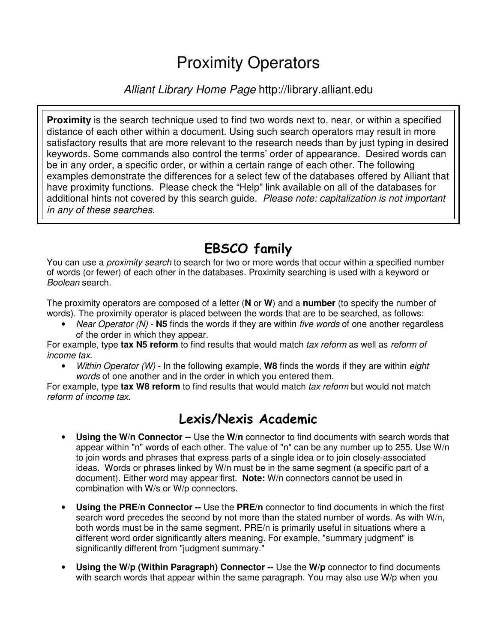# Proximity Operators

#### *Alliant Library Home Page* http://library.alliant.edu

**Proximity** is the search technique used to find two words next to, near, or within a specified distance of each other within a document. Using such search operators may result in more satisfactory results that are more relevant to the research needs than by just typing in desired keywords. Some commands also control the terms' order of appearance. Desired words can be in any order, a specific order, or within a certain range of each other. The following examples demonstrate the differences for a select few of the databases offered by Alliant that have proximity functions. Please check the "Help" link available on all of the databases for additional hints not covered by this search guide. *Please note: capitalization is not important in any of these searches.*

### EBSCO family

You can use a *proximity search* to search for two or more words that occur within a specified number of words (or fewer) of each other in the databases. Proximity searching is used with a keyword or *Boolean* search.

The proximity operators are composed of a letter (**N** or **W**) and a **number** (to specify the number of words). The proximity operator is placed between the words that are to be searched, as follows:

• *Near Operator (N)* - **N5** finds the words if they are within *five words* of one another regardless of the order in which they appear.

For example, type **tax N5 reform** to find results that would match *tax reform* as well as *reform of income tax*.

• *Within Operator (W)* - In the following example, **W8** finds the words if they are within *eight words* of one another and in the order in which you entered them.

For example, type **tax W8 reform** to find results that would match *tax reform* but would not match *reform of income tax*.

### Lexis/Nexis Academic

- **Using the W/n Connector --** Use the **W/n** connector to find documents with search words that appear within "n" words of each other. The value of "n" can be any number up to 255. Use W/n to join words and phrases that express parts of a single idea or to join closely-associated ideas. Words or phrases linked by W/n must be in the same segment (a specific part of a document). Either word may appear first. **Note:** W/n connectors cannot be used in combination with W/s or W/p connectors.
- **Using the PRE/n Connector --** Use the **PRE/n** connector to find documents in which the first search word precedes the second by not more than the stated number of words. As with W/n, both words must be in the same segment. PRE/n is primarily useful in situations where a different word order significantly alters meaning. For example, "summary judgment" is significantly different from "judgment summary."
- **Using the W/p (Within Paragraph) Connector --** Use the **W/p** connector to find documents with search words that appear within the same paragraph. You may also use W/p when you